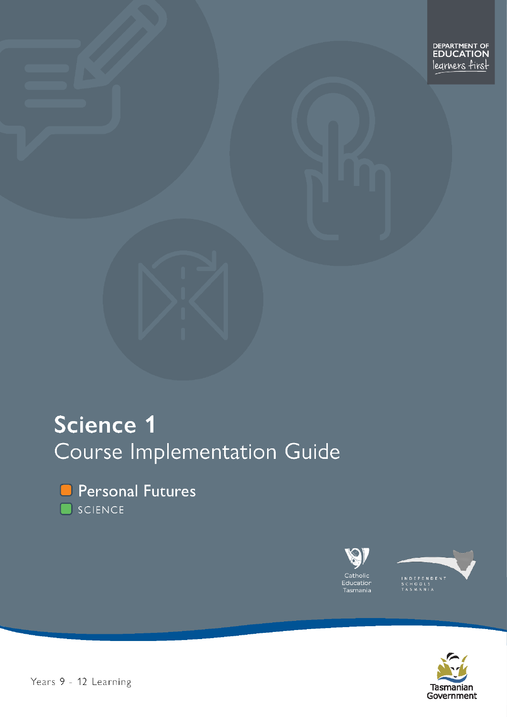# **Science 1** Course Implementation Guide



**O** Personal Futures SCIENCE





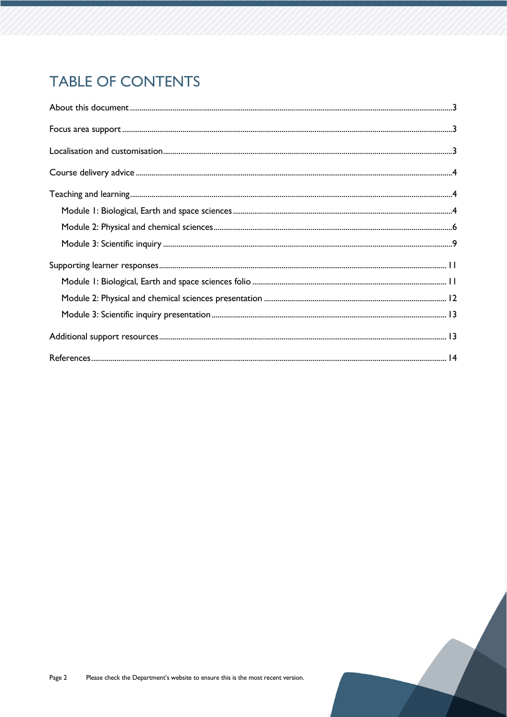# **TABLE OF CONTENTS**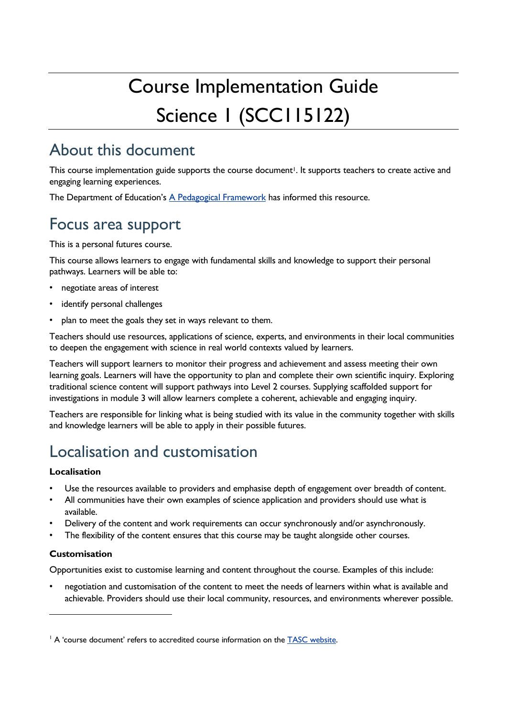# Course Implementation Guide Science I (SCCI15122)

# <span id="page-2-0"></span>About this document

This course implementation guide supports the course document<sup>1</sup>. It supports teachers to create active and engaging learning experiences.

The Department of Education's [A Pedagogical Framework](https://documentcentre.education.tas.gov.au/_layouts/15/DocIdRedir.aspx?ID=TASED-1629159896-383) has informed this resource.

# <span id="page-2-1"></span>Focus area support

This is a personal futures course.

This course allows learners to engage with fundamental skills and knowledge to support their personal pathways. Learners will be able to:

- negotiate areas of interest
- identify personal challenges
- plan to meet the goals they set in ways relevant to them.

Teachers should use resources, applications of science, experts, and environments in their local communities to deepen the engagement with science in real world contexts valued by learners.

Teachers will support learners to monitor their progress and achievement and assess meeting their own learning goals. Learners will have the opportunity to plan and complete their own scientific inquiry. Exploring traditional science content will support pathways into Level 2 courses. Supplying scaffolded support for investigations in module 3 will allow learners complete a coherent, achievable and engaging inquiry.

Teachers are responsible for linking what is being studied with its value in the community together with skills and knowledge learners will be able to apply in their possible futures.

# <span id="page-2-2"></span>Localisation and customisation

#### **Localisation**

- Use the resources available to providers and emphasise depth of engagement over breadth of content.
- All communities have their own examples of science application and providers should use what is available.
- Delivery of the content and work requirements can occur synchronously and/or asynchronously.
- The flexibility of the content ensures that this course may be taught alongside other courses.

#### **Customisation**

Opportunities exist to customise learning and content throughout the course. Examples of this include:

• negotiation and customisation of the content to meet the needs of learners within what is available and achievable. Providers should use their local community, resources, and environments wherever possible.

<sup>&</sup>lt;sup>1</sup> A 'course document' refers to accredited course information on the [TASC website.](https://www.tasc.tas.gov.au/students/courses/technologies/edn215122/)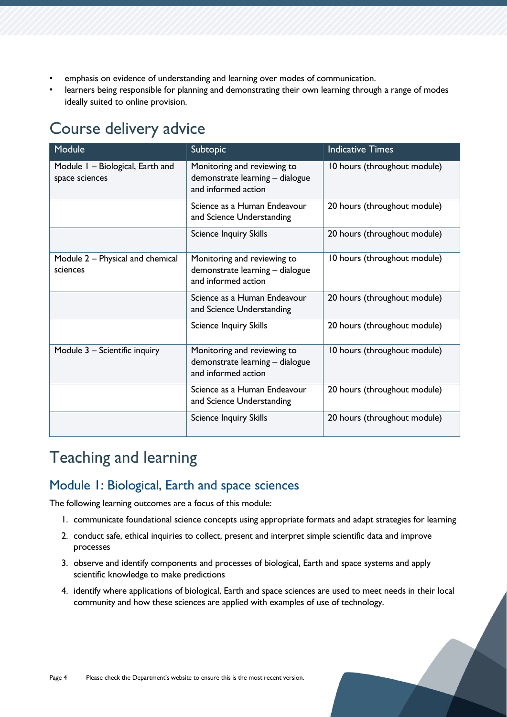- emphasis on evidence of understanding and learning over modes of communication.
- learners being responsible for planning and demonstrating their own learning through a range of modes ideally suited to online provision.

# <span id="page-3-0"></span>Course delivery advice

| Module                                             | Subtopic                                                                              | <b>Indicative Times</b>      |
|----------------------------------------------------|---------------------------------------------------------------------------------------|------------------------------|
| Module I - Biological, Earth and<br>space sciences | Monitoring and reviewing to<br>demonstrate learning - dialogue<br>and informed action | 10 hours (throughout module) |
|                                                    | Science as a Human Endeavour<br>and Science Understanding                             | 20 hours (throughout module) |
|                                                    | <b>Science Inquiry Skills</b>                                                         | 20 hours (throughout module) |
| Module 2 – Physical and chemical<br>sciences       | Monitoring and reviewing to<br>demonstrate learning - dialogue<br>and informed action | 10 hours (throughout module) |
|                                                    | Science as a Human Endeavour<br>and Science Understanding                             | 20 hours (throughout module) |
|                                                    | <b>Science Inquiry Skills</b>                                                         | 20 hours (throughout module) |
| Module 3 - Scientific inquiry                      | Monitoring and reviewing to<br>demonstrate learning - dialogue<br>and informed action | 10 hours (throughout module) |
|                                                    | Science as a Human Endeavour<br>and Science Understanding                             | 20 hours (throughout module) |
|                                                    | <b>Science Inquiry Skills</b>                                                         | 20 hours (throughout module) |

# <span id="page-3-1"></span>Teaching and learning

# <span id="page-3-2"></span>Module 1: Biological, Earth and space sciences

The following learning outcomes are a focus of this module:

- 1. communicate foundational science concepts using appropriate formats and adapt strategies for learning
- 2. conduct safe, ethical inquiries to collect, present and interpret simple scientific data and improve processes
- 3. observe and identify components and processes of biological, Earth and space systems and apply scientific knowledge to make predictions
- 4. identify where applications of biological, Earth and space sciences are used to meet needs in their local community and how these sciences are applied with examples of use of technology.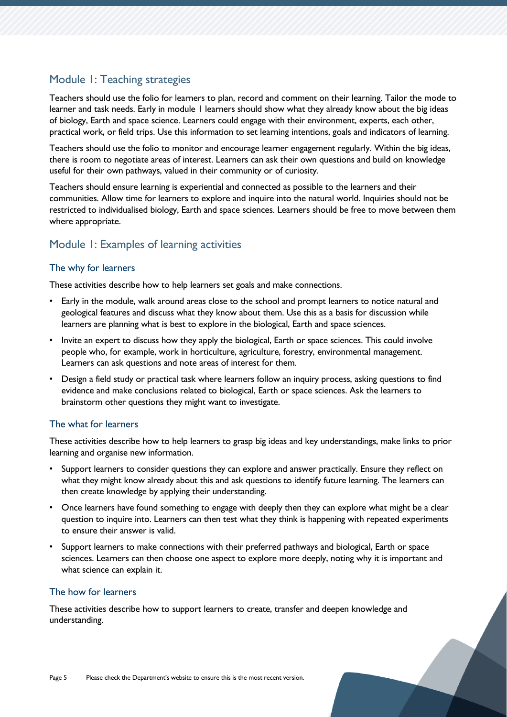# Module 1: Teaching strategies

Teachers should use the folio for learners to plan, record and comment on their learning. Tailor the mode to learner and task needs. Early in module 1 learners should show what they already know about the big ideas of biology, Earth and space science. Learners could engage with their environment, experts, each other, practical work, or field trips. Use this information to set learning intentions, goals and indicators of learning.

Teachers should use the folio to monitor and encourage learner engagement regularly. Within the big ideas, there is room to negotiate areas of interest. Learners can ask their own questions and build on knowledge useful for their own pathways, valued in their community or of curiosity.

Teachers should ensure learning is experiential and connected as possible to the learners and their communities. Allow time for learners to explore and inquire into the natural world. Inquiries should not be restricted to individualised biology, Earth and space sciences. Learners should be free to move between them where appropriate.

# Module 1: Examples of learning activities

#### The why for learners

These activities describe how to help learners set goals and make connections.

- Early in the module, walk around areas close to the school and prompt learners to notice natural and geological features and discuss what they know about them. Use this as a basis for discussion while learners are planning what is best to explore in the biological, Earth and space sciences.
- Invite an expert to discuss how they apply the biological, Earth or space sciences. This could involve people who, for example, work in horticulture, agriculture, forestry, environmental management. Learners can ask questions and note areas of interest for them.
- Design a field study or practical task where learners follow an inquiry process, asking questions to find evidence and make conclusions related to biological, Earth or space sciences. Ask the learners to brainstorm other questions they might want to investigate.

#### The what for learners

These activities describe how to help learners to grasp big ideas and key understandings, make links to prior learning and organise new information.

- Support learners to consider questions they can explore and answer practically. Ensure they reflect on what they might know already about this and ask questions to identify future learning. The learners can then create knowledge by applying their understanding.
- Once learners have found something to engage with deeply then they can explore what might be a clear question to inquire into. Learners can then test what they think is happening with repeated experiments to ensure their answer is valid.
- Support learners to make connections with their preferred pathways and biological, Earth or space sciences. Learners can then choose one aspect to explore more deeply, noting why it is important and what science can explain it.

### The how for learners

These activities describe how to support learners to create, transfer and deepen knowledge and understanding.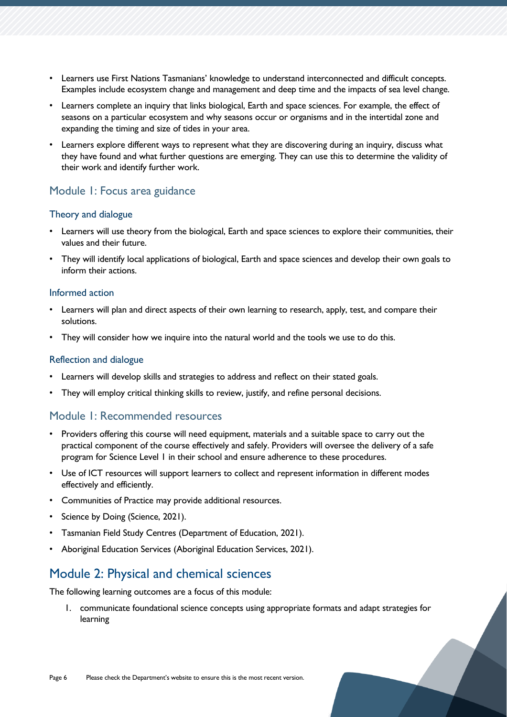- Learners use First Nations Tasmanians' knowledge to understand interconnected and difficult concepts. Examples include ecosystem change and management and deep time and the impacts of sea level change.
- Learners complete an inquiry that links biological, Earth and space sciences. For example, the effect of seasons on a particular ecosystem and why seasons occur or organisms and in the intertidal zone and expanding the timing and size of tides in your area.
- Learners explore different ways to represent what they are discovering during an inquiry, discuss what they have found and what further questions are emerging. They can use this to determine the validity of their work and identify further work.

# Module 1: Focus area guidance

#### Theory and dialogue

- Learners will use theory from the biological, Earth and space sciences to explore their communities, their values and their future.
- They will identify local applications of biological, Earth and space sciences and develop their own goals to inform their actions.

#### Informed action

- Learners will plan and direct aspects of their own learning to research, apply, test, and compare their solutions.
- They will consider how we inquire into the natural world and the tools we use to do this.

#### Reflection and dialogue

- Learners will develop skills and strategies to address and reflect on their stated goals.
- They will employ critical thinking skills to review, justify, and refine personal decisions.

### Module 1: Recommended resources

- Providers offering this course will need equipment, materials and a suitable space to carry out the practical component of the course effectively and safely. Providers will oversee the delivery of a safe program for Science Level 1 in their school and ensure adherence to these procedures.
- Use of ICT resources will support learners to collect and represent information in different modes effectively and efficiently.
- Communities of Practice may provide additional resources.
- Science by Doing (Science, 2021).
- Tasmanian Field Study Centres (Department of Education, 2021).
- Aboriginal Education Services (Aboriginal Education Services, 2021).

# <span id="page-5-0"></span>Module 2: Physical and chemical sciences

The following learning outcomes are a focus of this module:

1. communicate foundational science concepts using appropriate formats and adapt strategies for learning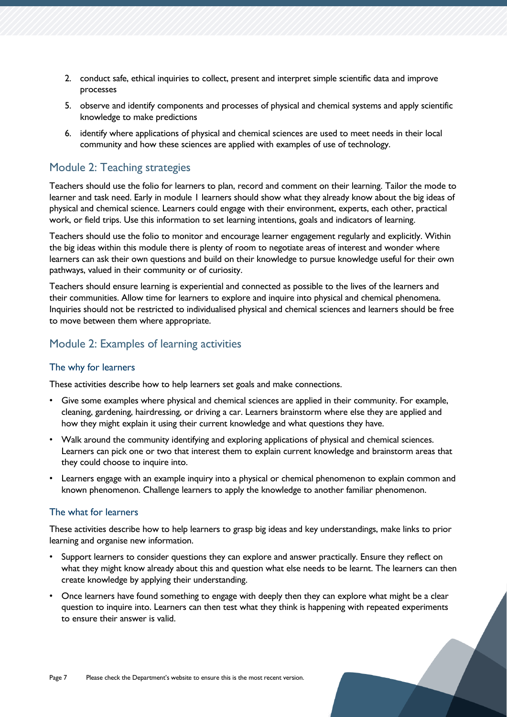- 2. conduct safe, ethical inquiries to collect, present and interpret simple scientific data and improve processes
- 5. observe and identify components and processes of physical and chemical systems and apply scientific knowledge to make predictions
- 6. identify where applications of physical and chemical sciences are used to meet needs in their local community and how these sciences are applied with examples of use of technology.

### Module 2: Teaching strategies

Teachers should use the folio for learners to plan, record and comment on their learning. Tailor the mode to learner and task need. Early in module 1 learners should show what they already know about the big ideas of physical and chemical science. Learners could engage with their environment, experts, each other, practical work, or field trips. Use this information to set learning intentions, goals and indicators of learning.

Teachers should use the folio to monitor and encourage learner engagement regularly and explicitly. Within the big ideas within this module there is plenty of room to negotiate areas of interest and wonder where learners can ask their own questions and build on their knowledge to pursue knowledge useful for their own pathways, valued in their community or of curiosity.

Teachers should ensure learning is experiential and connected as possible to the lives of the learners and their communities. Allow time for learners to explore and inquire into physical and chemical phenomena. Inquiries should not be restricted to individualised physical and chemical sciences and learners should be free to move between them where appropriate.

## Module 2: Examples of learning activities

#### The why for learners

These activities describe how to help learners set goals and make connections.

- Give some examples where physical and chemical sciences are applied in their community. For example, cleaning, gardening, hairdressing, or driving a car. Learners brainstorm where else they are applied and how they might explain it using their current knowledge and what questions they have.
- Walk around the community identifying and exploring applications of physical and chemical sciences. Learners can pick one or two that interest them to explain current knowledge and brainstorm areas that they could choose to inquire into.
- Learners engage with an example inquiry into a physical or chemical phenomenon to explain common and known phenomenon. Challenge learners to apply the knowledge to another familiar phenomenon.

#### The what for learners

These activities describe how to help learners to grasp big ideas and key understandings, make links to prior learning and organise new information.

- Support learners to consider questions they can explore and answer practically. Ensure they reflect on what they might know already about this and question what else needs to be learnt. The learners can then create knowledge by applying their understanding.
- Once learners have found something to engage with deeply then they can explore what might be a clear question to inquire into. Learners can then test what they think is happening with repeated experiments to ensure their answer is valid.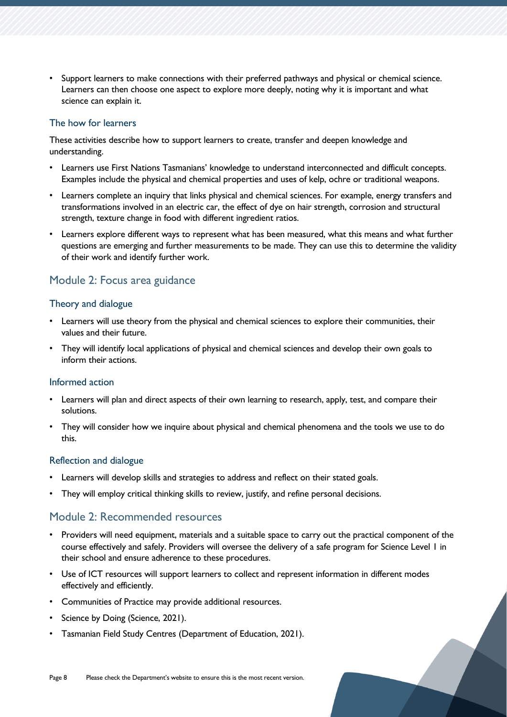• Support learners to make connections with their preferred pathways and physical or chemical science. Learners can then choose one aspect to explore more deeply, noting why it is important and what science can explain it.

#### The how for learners

These activities describe how to support learners to create, transfer and deepen knowledge and understanding.

- Learners use First Nations Tasmanians' knowledge to understand interconnected and difficult concepts. Examples include the physical and chemical properties and uses of kelp, ochre or traditional weapons.
- Learners complete an inquiry that links physical and chemical sciences. For example, energy transfers and transformations involved in an electric car, the effect of dye on hair strength, corrosion and structural strength, texture change in food with different ingredient ratios.
- Learners explore different ways to represent what has been measured, what this means and what further questions are emerging and further measurements to be made. They can use this to determine the validity of their work and identify further work.

# Module 2: Focus area guidance

#### Theory and dialogue

- Learners will use theory from the physical and chemical sciences to explore their communities, their values and their future.
- They will identify local applications of physical and chemical sciences and develop their own goals to inform their actions.

#### Informed action

- Learners will plan and direct aspects of their own learning to research, apply, test, and compare their solutions.
- They will consider how we inquire about physical and chemical phenomena and the tools we use to do this.

#### Reflection and dialogue

- Learners will develop skills and strategies to address and reflect on their stated goals.
- They will employ critical thinking skills to review, justify, and refine personal decisions.

# Module 2: Recommended resources

- Providers will need equipment, materials and a suitable space to carry out the practical component of the course effectively and safely. Providers will oversee the delivery of a safe program for Science Level 1 in their school and ensure adherence to these procedures.
- Use of ICT resources will support learners to collect and represent information in different modes effectively and efficiently.
- Communities of Practice may provide additional resources.
- Science by Doing (Science, 2021).
- Tasmanian Field Study Centres (Department of Education, 2021).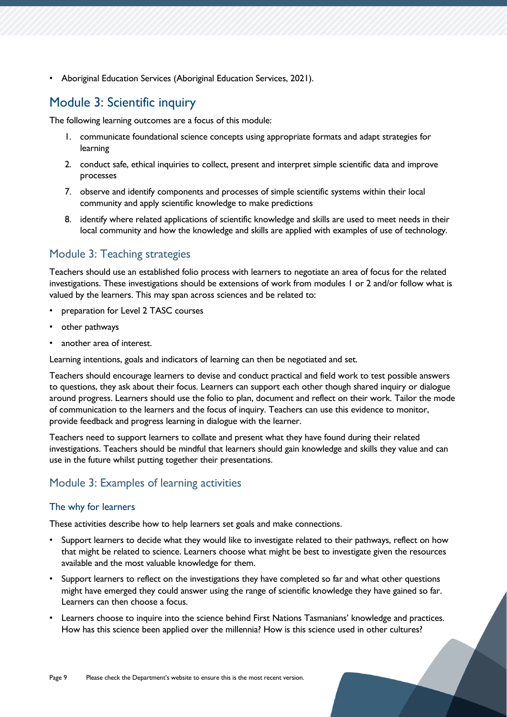• Aboriginal Education Services (Aboriginal Education Services, 2021).

# <span id="page-8-0"></span>Module 3: Scientific inquiry

The following learning outcomes are a focus of this module:

- 1. communicate foundational science concepts using appropriate formats and adapt strategies for learning
- 2. conduct safe, ethical inquiries to collect, present and interpret simple scientific data and improve processes
- 7. observe and identify components and processes of simple scientific systems within their local community and apply scientific knowledge to make predictions
- 8. identify where related applications of scientific knowledge and skills are used to meet needs in their local community and how the knowledge and skills are applied with examples of use of technology.

# Module 3: Teaching strategies

Teachers should use an established folio process with learners to negotiate an area of focus for the related investigations. These investigations should be extensions of work from modules 1 or 2 and/or follow what is valued by the learners. This may span across sciences and be related to:

- preparation for Level 2 TASC courses
- other pathways
- another area of interest.

Learning intentions, goals and indicators of learning can then be negotiated and set.

Teachers should encourage learners to devise and conduct practical and field work to test possible answers to questions, they ask about their focus. Learners can support each other though shared inquiry or dialogue around progress. Learners should use the folio to plan, document and reflect on their work. Tailor the mode of communication to the learners and the focus of inquiry. Teachers can use this evidence to monitor, provide feedback and progress learning in dialogue with the learner.

Teachers need to support learners to collate and present what they have found during their related investigations. Teachers should be mindful that learners should gain knowledge and skills they value and can use in the future whilst putting together their presentations.

# Module 3: Examples of learning activities

#### The why for learners

These activities describe how to help learners set goals and make connections.

- Support learners to decide what they would like to investigate related to their pathways, reflect on how that might be related to science. Learners choose what might be best to investigate given the resources available and the most valuable knowledge for them.
- Support learners to reflect on the investigations they have completed so far and what other questions might have emerged they could answer using the range of scientific knowledge they have gained so far. Learners can then choose a focus.
- Learners choose to inquire into the science behind First Nations Tasmanians' knowledge and practices. How has this science been applied over the millennia? How is this science used in other cultures?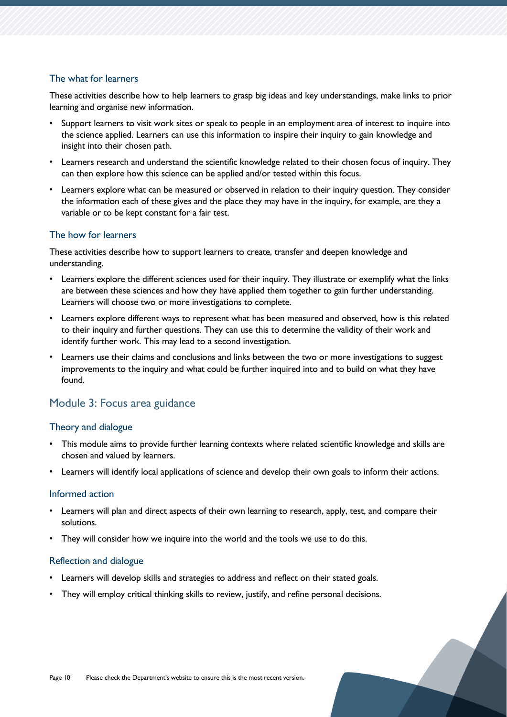#### The what for learners

These activities describe how to help learners to grasp big ideas and key understandings, make links to prior learning and organise new information.

- Support learners to visit work sites or speak to people in an employment area of interest to inquire into the science applied. Learners can use this information to inspire their inquiry to gain knowledge and insight into their chosen path.
- Learners research and understand the scientific knowledge related to their chosen focus of inquiry. They can then explore how this science can be applied and/or tested within this focus.
- Learners explore what can be measured or observed in relation to their inquiry question. They consider the information each of these gives and the place they may have in the inquiry, for example, are they a variable or to be kept constant for a fair test.

#### The how for learners

These activities describe how to support learners to create, transfer and deepen knowledge and understanding.

- Learners explore the different sciences used for their inquiry. They illustrate or exemplify what the links are between these sciences and how they have applied them together to gain further understanding. Learners will choose two or more investigations to complete.
- Learners explore different ways to represent what has been measured and observed, how is this related to their inquiry and further questions. They can use this to determine the validity of their work and identify further work. This may lead to a second investigation.
- Learners use their claims and conclusions and links between the two or more investigations to suggest improvements to the inquiry and what could be further inquired into and to build on what they have found.

### Module 3: Focus area guidance

#### Theory and dialogue

- This module aims to provide further learning contexts where related scientific knowledge and skills are chosen and valued by learners.
- Learners will identify local applications of science and develop their own goals to inform their actions.

#### Informed action

- Learners will plan and direct aspects of their own learning to research, apply, test, and compare their solutions.
- They will consider how we inquire into the world and the tools we use to do this.

#### Reflection and dialogue

- Learners will develop skills and strategies to address and reflect on their stated goals.
- They will employ critical thinking skills to review, justify, and refine personal decisions.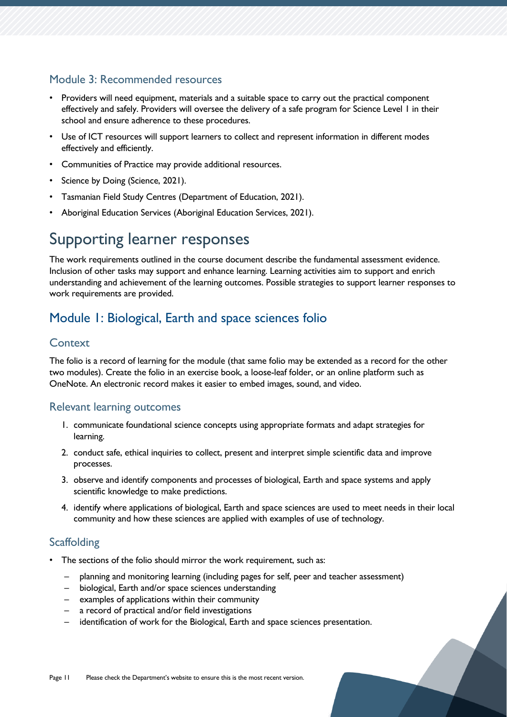# Module 3: Recommended resources

- Providers will need equipment, materials and a suitable space to carry out the practical component effectively and safely. Providers will oversee the delivery of a safe program for Science Level 1 in their school and ensure adherence to these procedures.
- Use of ICT resources will support learners to collect and represent information in different modes effectively and efficiently.
- Communities of Practice may provide additional resources.
- Science by Doing (Science, 2021).
- Tasmanian Field Study Centres (Department of Education, 2021).
- Aboriginal Education Services (Aboriginal Education Services, 2021).

# <span id="page-10-0"></span>Supporting learner responses

The work requirements outlined in the course document describe the fundamental assessment evidence. Inclusion of other tasks may support and enhance learning. Learning activities aim to support and enrich understanding and achievement of the learning outcomes. Possible strategies to support learner responses to work requirements are provided.

# <span id="page-10-1"></span>Module 1: Biological, Earth and space sciences folio

## **Context**

The folio is a record of learning for the module (that same folio may be extended as a record for the other two modules). Create the folio in an exercise book, a loose-leaf folder, or an online platform such as OneNote. An electronic record makes it easier to embed images, sound, and video.

### Relevant learning outcomes

- 1. communicate foundational science concepts using appropriate formats and adapt strategies for learning.
- 2. conduct safe, ethical inquiries to collect, present and interpret simple scientific data and improve processes.
- 3. observe and identify components and processes of biological, Earth and space systems and apply scientific knowledge to make predictions.
- 4. identify where applications of biological, Earth and space sciences are used to meet needs in their local community and how these sciences are applied with examples of use of technology.

# **Scaffolding**

- The sections of the folio should mirror the work requirement, such as:
	- planning and monitoring learning (including pages for self, peer and teacher assessment)
	- biological, Earth and/or space sciences understanding
	- examples of applications within their community
	- a record of practical and/or field investigations
	- identification of work for the Biological, Earth and space sciences presentation.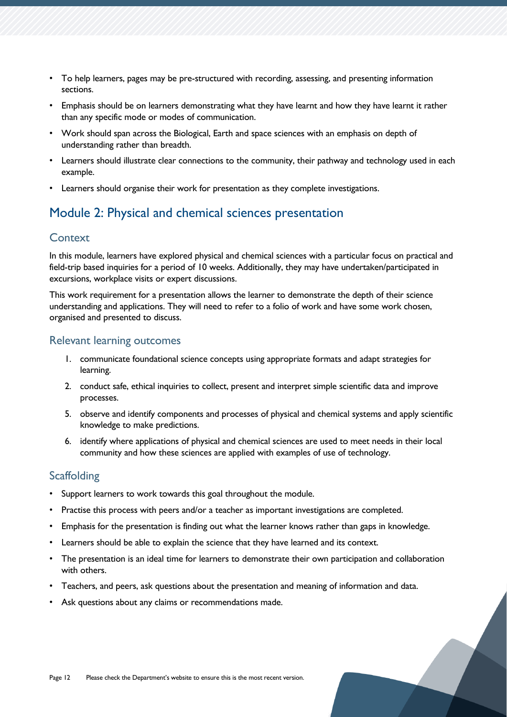- To help learners, pages may be pre-structured with recording, assessing, and presenting information sections.
- Emphasis should be on learners demonstrating what they have learnt and how they have learnt it rather than any specific mode or modes of communication.
- Work should span across the Biological, Earth and space sciences with an emphasis on depth of understanding rather than breadth.
- Learners should illustrate clear connections to the community, their pathway and technology used in each example.
- Learners should organise their work for presentation as they complete investigations.

# <span id="page-11-0"></span>Module 2: Physical and chemical sciences presentation

### **Context**

In this module, learners have explored physical and chemical sciences with a particular focus on practical and field-trip based inquiries for a period of 10 weeks. Additionally, they may have undertaken/participated in excursions, workplace visits or expert discussions.

This work requirement for a presentation allows the learner to demonstrate the depth of their science understanding and applications. They will need to refer to a folio of work and have some work chosen, organised and presented to discuss.

### Relevant learning outcomes

- 1. communicate foundational science concepts using appropriate formats and adapt strategies for learning.
- 2. conduct safe, ethical inquiries to collect, present and interpret simple scientific data and improve processes.
- 5. observe and identify components and processes of physical and chemical systems and apply scientific knowledge to make predictions.
- 6. identify where applications of physical and chemical sciences are used to meet needs in their local community and how these sciences are applied with examples of use of technology.

### **Scaffolding**

- Support learners to work towards this goal throughout the module.
- Practise this process with peers and/or a teacher as important investigations are completed.
- Emphasis for the presentation is finding out what the learner knows rather than gaps in knowledge.
- Learners should be able to explain the science that they have learned and its context.
- The presentation is an ideal time for learners to demonstrate their own participation and collaboration with others.
- Teachers, and peers, ask questions about the presentation and meaning of information and data.
- Ask questions about any claims or recommendations made.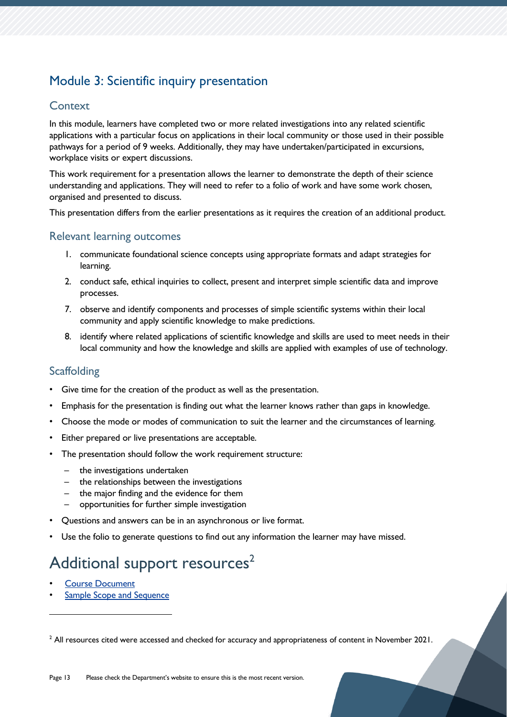# <span id="page-12-0"></span>Module 3: Scientific inquiry presentation

## **Context**

In this module, learners have completed two or more related investigations into any related scientific applications with a particular focus on applications in their local community or those used in their possible pathways for a period of 9 weeks. Additionally, they may have undertaken/participated in excursions, workplace visits or expert discussions.

This work requirement for a presentation allows the learner to demonstrate the depth of their science understanding and applications. They will need to refer to a folio of work and have some work chosen, organised and presented to discuss.

This presentation differs from the earlier presentations as it requires the creation of an additional product.

## Relevant learning outcomes

- 1. communicate foundational science concepts using appropriate formats and adapt strategies for learning.
- 2. conduct safe, ethical inquiries to collect, present and interpret simple scientific data and improve processes.
- 7. observe and identify components and processes of simple scientific systems within their local community and apply scientific knowledge to make predictions.
- 8. identify where related applications of scientific knowledge and skills are used to meet needs in their local community and how the knowledge and skills are applied with examples of use of technology.

# **Scaffolding**

- Give time for the creation of the product as well as the presentation.
- Emphasis for the presentation is finding out what the learner knows rather than gaps in knowledge.
- Choose the mode or modes of communication to suit the learner and the circumstances of learning.
- Either prepared or live presentations are acceptable.
- The presentation should follow the work requirement structure:
	- the investigations undertaken
	- the relationships between the investigations
	- the major finding and the evidence for them
	- opportunities for further simple investigation
- Questions and answers can be in an asynchronous or live format.
- Use the folio to generate questions to find out any information the learner may have missed.

# <span id="page-12-1"></span>Additional support resources<sup>2</sup>

- **[Course Document](https://www.tasc.tas.gov.au/students/courses/science/scc115122/)**
- [Sample Scope and Sequence](https://documentcentre.education.tas.gov.au/_layouts/15/DocIdRedir.aspx?ID=TASED-1409172972-1878)

<sup>&</sup>lt;sup>2</sup> All resources cited were accessed and checked for accuracy and appropriateness of content in November 2021.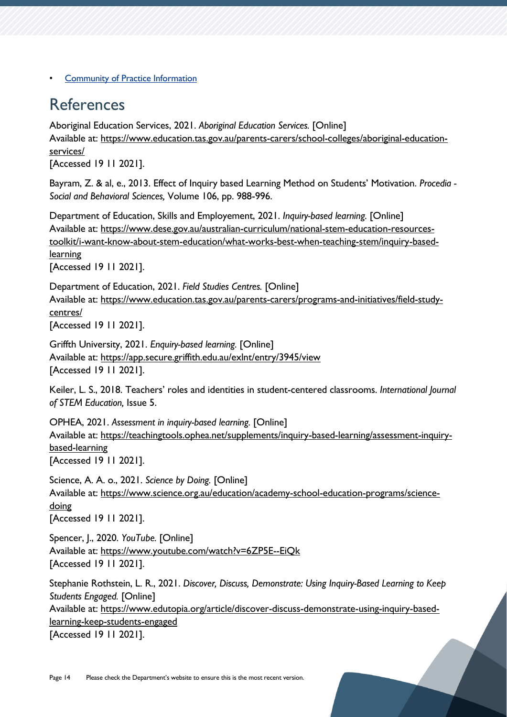**[Community of Practice Information](https://11and12.education.tas.gov.au/communities-of-practice/)** 

# <span id="page-13-0"></span>References

Aboriginal Education Services, 2021. *Aboriginal Education Services.* [Online] Available at: https://www.education.tas.gov.au/parents-carers/school-colleges/aboriginal-educationservices/

[Accessed 19 11 2021].

Bayram, Z. & al, e., 2013. Effect of Inquiry based Learning Method on Students' Motivation. *Procedia - Social and Behavioral Sciences,* Volume 106, pp. 988-996.

Department of Education, Skills and Employement, 2021. *Inquiry-based learning.* [Online] Available at: https://www.dese.gov.au/australian-curriculum/national-stem-education-resourcestoolkit/i-want-know-about-stem-education/what-works-best-when-teaching-stem/inquiry-basedlearning [Accessed 19 11 2021].

Department of Education, 2021. *Field Studies Centres.* [Online] Available at: https://www.education.tas.gov.au/parents-carers/programs-and-initiatives/field-studycentres/

[Accessed 19 11 2021].

Griffth University, 2021. *Enquiry-based learning.* [Online] Available at: https://app.secure.griffith.edu.au/exlnt/entry/3945/view [Accessed 19 11 2021].

Keiler, L. S., 2018. Teachers' roles and identities in student-centered classrooms. *International Journal of STEM Education,* Issue 5.

OPHEA, 2021. *Assessment in inquiry-based learning.* [Online] Available at: https://teachingtools.ophea.net/supplements/inquiry-based-learning/assessment-inquirybased-learning [Accessed 19 11 2021].

Science, A. A. o., 2021. *Science by Doing.* [Online] Available at: https://www.science.org.au/education/academy-school-education-programs/sciencedoing [Accessed 19 11 2021].

Spencer, J., 2020. *YouTube.* [Online] Available at: https://www.youtube.com/watch?v=6ZP5E--EiQk [Accessed 19 11 2021].

Stephanie Rothstein, L. R., 2021. *Discover, Discuss, Demonstrate: Using Inquiry-Based Learning to Keep Students Engaged.* [Online] Available at: https://www.edutopia.org/article/discover-discuss-demonstrate-using-inquiry-basedlearning-keep-students-engaged [Accessed 19 11 2021].